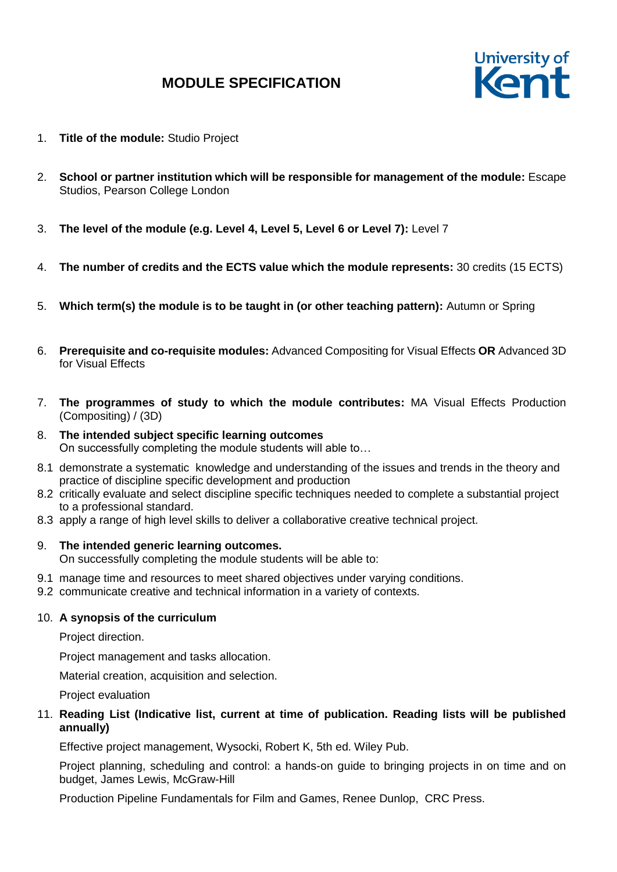# **MODULE SPECIFICATION**



- 1. **Title of the module:** Studio Project
- 2. **School or partner institution which will be responsible for management of the module:** Escape Studios, Pearson College London
- 3. **The level of the module (e.g. Level 4, Level 5, Level 6 or Level 7):** Level 7
- 4. **The number of credits and the ECTS value which the module represents:** 30 credits (15 ECTS)
- 5. **Which term(s) the module is to be taught in (or other teaching pattern):** Autumn or Spring
- 6. **Prerequisite and co-requisite modules:** Advanced Compositing for Visual Effects **OR** Advanced 3D for Visual Effects
- 7. **The programmes of study to which the module contributes:** MA Visual Effects Production (Compositing) / (3D)
- 8. **The intended subject specific learning outcomes** On successfully completing the module students will able to…
- 8.1 demonstrate a systematic knowledge and understanding of the issues and trends in the theory and practice of discipline specific development and production
- 8.2 critically evaluate and select discipline specific techniques needed to complete a substantial project to a professional standard.
- 8.3 apply a range of high level skills to deliver a collaborative creative technical project.

### 9. **The intended generic learning outcomes.**

On successfully completing the module students will be able to:

- 9.1 manage time and resources to meet shared objectives under varying conditions.
- 9.2 communicate creative and technical information in a variety of contexts.

#### 10. **A synopsis of the curriculum**

Project direction.

Project management and tasks allocation.

Material creation, acquisition and selection.

Project evaluation

### 11. **Reading List (Indicative list, current at time of publication. Reading lists will be published annually)**

Effective project management, Wysocki, Robert K, 5th ed. Wiley Pub.

Project planning, scheduling and control: a hands-on guide to bringing projects in on time and on budget, James Lewis, McGraw-Hill

Production Pipeline Fundamentals for Film and Games, Renee Dunlop, CRC Press.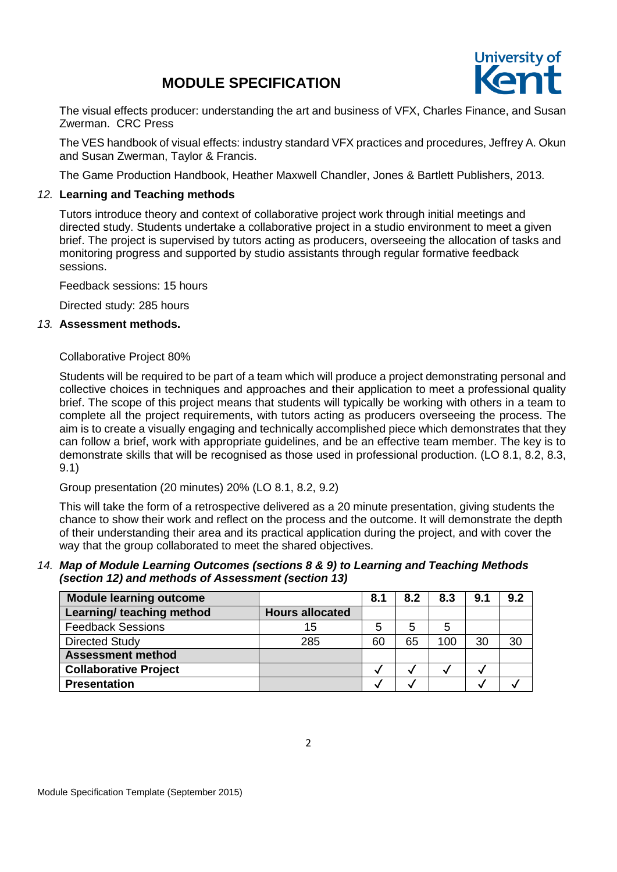## **MODULE SPECIFICATION**



The visual effects producer: understanding the art and business of VFX, Charles Finance, and Susan Zwerman. CRC Press

The VES handbook of visual effects: industry standard VFX practices and procedures, Jeffrey A. Okun and Susan Zwerman, Taylor & Francis.

The Game Production Handbook, Heather Maxwell Chandler, Jones & Bartlett Publishers, 2013.

#### *12.* **Learning and Teaching methods**

Tutors introduce theory and context of collaborative project work through initial meetings and directed study. Students undertake a collaborative project in a studio environment to meet a given brief. The project is supervised by tutors acting as producers, overseeing the allocation of tasks and monitoring progress and supported by studio assistants through regular formative feedback sessions.

Feedback sessions: 15 hours

Directed study: 285 hours

#### *13.* **Assessment methods.**

#### Collaborative Project 80%

Students will be required to be part of a team which will produce a project demonstrating personal and collective choices in techniques and approaches and their application to meet a professional quality brief. The scope of this project means that students will typically be working with others in a team to complete all the project requirements, with tutors acting as producers overseeing the process. The aim is to create a visually engaging and technically accomplished piece which demonstrates that they can follow a brief, work with appropriate guidelines, and be an effective team member. The key is to demonstrate skills that will be recognised as those used in professional production. (LO 8.1, 8.2, 8.3, 9.1)

Group presentation (20 minutes) 20% (LO 8.1, 8.2, 9.2)

This will take the form of a retrospective delivered as a 20 minute presentation, giving students the chance to show their work and reflect on the process and the outcome. It will demonstrate the depth of their understanding their area and its practical application during the project, and with cover the way that the group collaborated to meet the shared objectives.

#### *14. Map of Module Learning Outcomes (sections 8 & 9) to Learning and Teaching Methods (section 12) and methods of Assessment (section 13)*

| <b>Module learning outcome</b> |                        | 8.1 | 8.2 | 8.3 | 9.1 | 9.2 |
|--------------------------------|------------------------|-----|-----|-----|-----|-----|
| Learning/ teaching method      | <b>Hours allocated</b> |     |     |     |     |     |
| <b>Feedback Sessions</b>       | 15                     | 5   | 5   | 5   |     |     |
| <b>Directed Study</b>          | 285                    | 60  | 65  | 100 | 30  | 30  |
| <b>Assessment method</b>       |                        |     |     |     |     |     |
| <b>Collaborative Project</b>   |                        |     |     |     |     |     |
| <b>Presentation</b>            |                        |     |     |     |     |     |